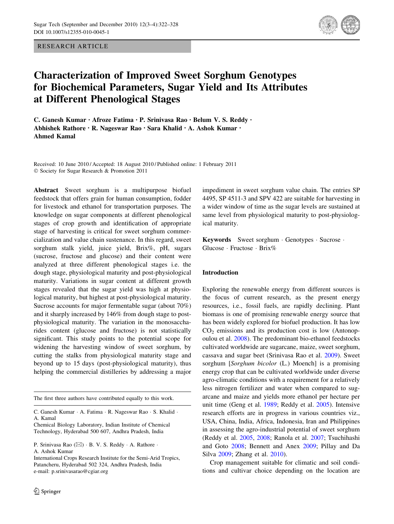RESEARCH ARTICLE



# Characterization of Improved Sweet Sorghum Genotypes for Biochemical Parameters, Sugar Yield and Its Attributes at Different Phenological Stages

C. Ganesh Kumar • Afroze Fatima • P. Srinivasa Rao • Belum V. S. Reddy • Abhishek Rathore • R. Nageswar Rao • Sara Khalid • A. Ashok Kumar • Ahmed Kamal

Received: 10 June 2010 / Accepted: 18 August 2010 / Published online: 1 February 2011 - Society for Sugar Research & Promotion 2011

Abstract Sweet sorghum is a multipurpose biofuel feedstock that offers grain for human consumption, fodder for livestock and ethanol for transportation purposes. The knowledge on sugar components at different phenological stages of crop growth and identification of appropriate stage of harvesting is critical for sweet sorghum commercialization and value chain sustenance. In this regard, sweet sorghum stalk yield, juice yield, Brix%, pH, sugars (sucrose, fructose and glucose) and their content were analyzed at three different phenological stages i.e. the dough stage, physiological maturity and post-physiological maturity. Variations in sugar content at different growth stages revealed that the sugar yield was high at physiological maturity, but highest at post-physiological maturity. Sucrose accounts for major fermentable sugar (about 70%) and it sharply increased by 146% from dough stage to postphysiological maturity. The variation in the monosaccharides content (glucose and fructose) is not statistically significant. This study points to the potential scope for widening the harvesting window of sweet sorghum, by cutting the stalks from physiological maturity stage and beyond up to 15 days (post-physiological maturity), thus helping the commercial distilleries by addressing a major

The first three authors have contributed equally to this work.

C. Ganesh Kumar · A. Fatima · R. Nageswar Rao · S. Khalid · A. Kamal

Chemical Biology Laboratory, Indian Institute of Chemical Technology, Hyderabad 500 607, Andhra Pradesh, India

P. Srinivasa Rao (⊠) · B. V. S. Reddy · A. Rathore · A. Ashok Kumar

International Crops Research Institute for the Semi-Arid Tropics, Patancheru, Hyderabad 502 324, Andhra Pradesh, India e-mail: p.srinivasarao@cgiar.org

impediment in sweet sorghum value chain. The entries SP 4495, SP 4511-3 and SPV 422 are suitable for harvesting in a wider window of time as the sugar levels are sustained at same level from physiological maturity to post-physiological maturity.

Keywords Sweet sorghum - Genotypes - Sucrose - Glucose · Fructose · Brix%

## Introduction

Exploring the renewable energy from different sources is the focus of current research, as the present energy resources, i.e., fossil fuels, are rapidly declining. Plant biomass is one of promising renewable energy source that has been widely explored for biofuel production. It has low  $CO<sub>2</sub>$  emissions and its production cost is low (Antonopoulou et al. [2008\)](#page-6-0). The predominant bio-ethanol feedstocks cultivated worldwide are sugarcane, maize, sweet sorghum, cassava and sugar beet (Srinivasa Rao et al. [2009\)](#page-6-0). Sweet sorghum [Sorghum bicolor (L.) Moench] is a promising energy crop that can be cultivated worldwide under diverse agro-climatic conditions with a requirement for a relatively less nitrogen fertilizer and water when compared to sugarcane and maize and yields more ethanol per hectare per unit time (Geng et al. [1989;](#page-6-0) Reddy et al. [2005](#page-6-0)). Intensive research efforts are in progress in various countries viz., USA, China, India, Africa, Indonesia, Iran and Philippines in assessing the agro-industrial potential of sweet sorghum (Reddy et al. [2005,](#page-6-0) [2008](#page-6-0); Ranola et al. [2007;](#page-6-0) Tsuchihashi and Goto [2008;](#page-6-0) Bennett and Anex [2009](#page-6-0); Pillay and Da Silva [2009](#page-6-0); Zhang et al. [2010\)](#page-6-0).

Crop management suitable for climatic and soil conditions and cultivar choice depending on the location are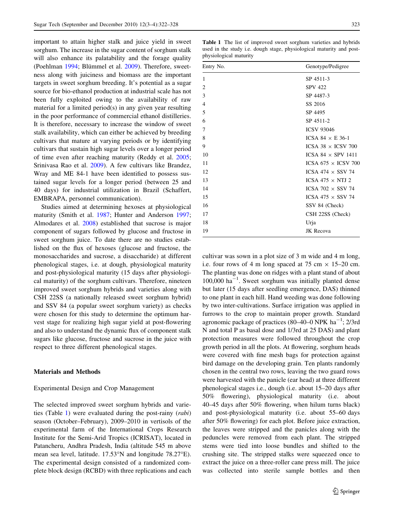important to attain higher stalk and juice yield in sweet sorghum. The increase in the sugar content of sorghum stalk will also enhance its palatability and the forage quality (Poehlman [1994;](#page-6-0) Blümmel et al. [2009](#page-6-0)). Therefore, sweetness along with juiciness and biomass are the important targets in sweet sorghum breeding. It's potential as a sugar source for bio-ethanol production at industrial scale has not been fully exploited owing to the availability of raw material for a limited period(s) in any given year resulting in the poor performance of commercial ethanol distilleries. It is therefore, necessary to increase the window of sweet stalk availability, which can either be achieved by breeding cultivars that mature at varying periods or by identifying cultivars that sustain high sugar levels over a longer period of time even after reaching maturity (Reddy et al. [2005](#page-6-0); Srinivasa Rao et al. [2009\)](#page-6-0). A few cultivars like Brandez, Wray and ME 84-1 have been identified to possess sustained sugar levels for a longer period (between 25 and 40 days) for industrial utilization in Brazil (Schaffert, EMBRAPA, personnel communication).

Studies aimed at determining hexoses at physiological maturity (Smith et al. [1987;](#page-6-0) Hunter and Anderson [1997](#page-6-0); Almodares et al. [2008\)](#page-6-0) established that sucrose is major component of sugars followed by glucose and fructose in sweet sorghum juice. To date there are no studies established on the flux of hexoses (glucose and fructose, the monosaccharides and sucrose, a disaccharide) at different phenological stages, i.e. at dough, physiological maturity and post-physiological maturity (15 days after physiological maturity) of the sorghum cultivars. Therefore, nineteen improved sweet sorghum hybrids and varieties along with CSH 22SS (a nationally released sweet sorghum hybrid) and SSV 84 (a popular sweet sorghum variety) as checks were chosen for this study to determine the optimum harvest stage for realizing high sugar yield at post-flowering and also to understand the dynamic flux of component stalk sugars like glucose, fructose and sucrose in the juice with respect to three different phenological stages.

## Materials and Methods

#### Experimental Design and Crop Management

The selected improved sweet sorghum hybrids and varieties (Table 1) were evaluated during the post-rainy (rabi) season (October–February), 2009–2010 in vertisols of the experimental farm of the International Crops Research Institute for the Semi-Arid Tropics (ICRISAT), located in Patancheru, Andhra Pradesh, India (altitude 545 m above mean sea level, latitude.  $17.53^{\circ}$ N and longitude 78.27 $^{\circ}$ E). The experimental design consisted of a randomized complete block design (RCBD) with three replications and each

Table 1 The list of improved sweet sorghum varieties and hybrids used in the study i.e. dough stage, physiological maturity and postphysiological maturity

| Entry No.      | Genotype/Pedigree          |  |  |  |
|----------------|----------------------------|--|--|--|
| 1              | SP 4511-3                  |  |  |  |
| $\overline{2}$ | <b>SPV 422</b>             |  |  |  |
| 3              | SP 4487-3                  |  |  |  |
| 4              | SS 2016                    |  |  |  |
| 5              | SP 4495                    |  |  |  |
| 6              | SP 4511-2                  |  |  |  |
| 7              | <b>ICSV 93046</b>          |  |  |  |
| 8              | ICSA 84 $\times$ E 36-1    |  |  |  |
| 9              | ICSA 38 $\times$ ICSV 700  |  |  |  |
| 10             | ICSA 84 $\times$ SPV 1411  |  |  |  |
| 11             | ICSA 675 $\times$ ICSV 700 |  |  |  |
| 12             | ICSA 474 $\times$ SSV 74   |  |  |  |
| 13             | ICSA 475 $\times$ NTJ 2    |  |  |  |
| 14             | ICSA 702 $\times$ SSV 74   |  |  |  |
| 15             | ICSA 475 $\times$ SSV 74   |  |  |  |
| 16             | SSV 84 (Check)             |  |  |  |
| 17             | CSH 22SS (Check)           |  |  |  |
| 18             | Urja                       |  |  |  |
| 19             | JK Recova                  |  |  |  |

cultivar was sown in a plot size of 3 m wide and 4 m long, i.e. four rows of 4 m long spaced at 75 cm  $\times$  15–20 cm. The planting was done on ridges with a plant stand of about  $100,000$  ha<sup>-1</sup>. Sweet sorghum was initially planted dense but later (15 days after seedling emergence, DAS) thinned to one plant in each hill. Hand weeding was done following by two inter-cultivations. Surface irrigation was applied in furrows to the crop to maintain proper growth. Standard agronomic package of practices (80–40–0 NPK  $ha^{-1}$ ; 2/3rd N and total P as basal dose and 1/3rd at 25 DAS) and plant protection measures were followed throughout the crop growth period in all the plots. At flowering, sorghum heads were covered with fine mesh bags for protection against bird damage on the developing grain. Ten plants randomly chosen in the central two rows, leaving the two guard rows were harvested with the panicle (ear head) at three different phenological stages i.e., dough (i.e. about 15–20 days after 50% flowering), physiological maturity (i.e. about 40–45 days after 50% flowering, when hilum turns black) and post-physiological maturity (i.e. about 55–60 days after 50% flowering) for each plot. Before juice extraction, the leaves were stripped and the panicles along with the peduncles were removed from each plant. The stripped stems were tied into loose bundles and shifted to the crushing site. The stripped stalks were squeezed once to extract the juice on a three-roller cane press mill. The juice was collected into sterile sample bottles and then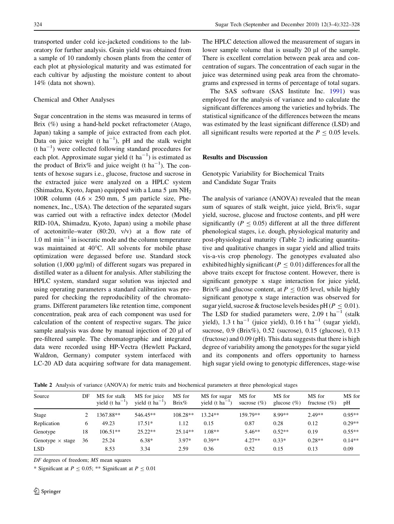transported under cold ice-jacketed conditions to the laboratory for further analysis. Grain yield was obtained from a sample of 10 randomly chosen plants from the center of each plot at physiological maturity and was estimated for each cultivar by adjusting the moisture content to about 14% (data not shown).

### Chemical and Other Analyses

Sugar concentration in the stems was measured in terms of Brix (%) using a hand-held pocket refractometer (Atago, Japan) taking a sample of juice extracted from each plot. Data on juice weight (t  $ha^{-1}$ ), pH and the stalk weight  $(t \ ha^{-1})$  were collected following standard procedures for each plot. Approximate sugar yield  $(t \text{ ha}^{-1})$  is estimated as the product of Brix% and juice weight (t ha<sup>-1</sup>). The contents of hexose sugars i.e., glucose, fructose and sucrose in the extracted juice were analyzed on a HPLC system (Shimadzu, Kyoto, Japan) equipped with a Luna 5  $\mu$ m NH<sub>2</sub> 100R column (4.6  $\times$  250 mm, 5 µm particle size, Phenomenex, Inc., USA). The detection of the separated sugars was carried out with a refractive index detector (Model RID-10A, Shimadzu, Kyoto, Japan) using a mobile phase of acetonitrile–water (80:20, v/v) at a flow rate of  $1.0 \text{ ml } \text{min}^{-1}$  in isocratic mode and the column temperature was maintained at 40°C. All solvents for mobile phase optimization were degassed before use. Standard stock solution  $(1,000 \mu g/ml)$  of different sugars was prepared in distilled water as a diluent for analysis. After stabilizing the HPLC system, standard sugar solution was injected and using operating parameters a standard calibration was prepared for checking the reproducibility of the chromatograms. Different parameters like retention time, component concentration, peak area of each component was used for calculation of the content of respective sugars. The juice sample analysis was done by manual injection of  $20 \mu l$  of pre-filtered sample. The chromatographic and integrated data were recorded using HP-Vectra (Hewlett Packard, Waldron, Germany) computer system interfaced with LC-20 AD data acquiring software for data management.

The HPLC detection allowed the measurement of sugars in lower sample volume that is usually  $20 \mu l$  of the sample. There is excellent correlation between peak area and concentration of sugars. The concentration of each sugar in the juice was determined using peak area from the chromatograms and expressed in terms of percentage of total sugars.

The SAS software (SAS Institute Inc. [1991](#page-6-0)) was employed for the analysis of variance and to calculate the significant differences among the varieties and hybrids. The statistical significance of the differences between the means was estimated by the least significant difference (LSD) and all significant results were reported at the  $P \le 0.05$  levels.

## Results and Discussion

Genotypic Variability for Biochemical Traits and Candidate Sugar Traits

The analysis of variance (ANOVA) revealed that the mean sum of squares of stalk weight, juice yield, Brix%, sugar yield, sucrose, glucose and fructose contents, and pH were significantly ( $P \le 0.05$ ) different at all the three different phenological stages, i.e. dough, physiological maturity and post-physiological maturity (Table 2) indicating quantitative and qualitative changes in sugar yield and allied traits vis-a-vis crop phenology. The genotypes evaluated also exhibited highly significant ( $P < 0.01$ ) differences for all the above traits except for fructose content. However, there is significant genotype x stage interaction for juice yield, Brix% and glucose content, at  $P \le 0.05$  level, while highly significant genotype x stage interaction was observed for sugar yield, sucrose & fructose levels besides  $pH(P \le 0.01)$ . The LSD for studied parameters were,  $2.09$  t ha<sup>-1</sup> (stalk yield), 1.3 t ha<sup>-1</sup> (juice yield), 0.16 t ha<sup>-1</sup> (sugar yield), sucrose, 0.9 (Brix%), 0.52 (sucrose), 0.15 (glucose), 0.13 (fructose) and 0.09 (pH). This data suggests that there is high degree of variability among the genotypes for the sugar yield and its components and offers opportunity to harness high sugar yield owing to genotypic differences, stage-wise

Table 2 Analysis of variance (ANOVA) for metric traits and biochemical parameters at three phenological stages

| Source                  | DF | MS for stalk<br>yield $(t \text{ ha}^{-1})$ | MS for juice<br>yield $(t \text{ ha}^{-1})$ | MS for<br>Brix% | MS for sugar<br>yield $(t \text{ ha}^{-1})$ | MS for<br>sucrose $(\% )$ | MS for<br>glucose $(\% )$ | MS for<br>fructose $(\% )$ | MS for<br>pH |
|-------------------------|----|---------------------------------------------|---------------------------------------------|-----------------|---------------------------------------------|---------------------------|---------------------------|----------------------------|--------------|
| Stage                   |    | 1367.88**                                   | 546.45**                                    | $108.28**$      | $13.24**$                                   | 159.79**                  | 8.99**                    | $2.49**$                   | $0.95**$     |
| Replication             | 6  | 49.23                                       | $17.51*$                                    | 1.12            | 0.15                                        | 0.87                      | 0.28                      | 0.12                       | $0.29**$     |
| Genotype                | 18 | $106.51**$                                  | $25.22**$                                   | $25.14**$       | $1.08**$                                    | $5.46**$                  | $0.52**$                  | 0.19                       | $0.55**$     |
| Genotype $\times$ stage | 36 | 25.24                                       | $6.38*$                                     | $3.97*$         | $0.39**$                                    | $4.27**$                  | $0.33*$                   | $0.28**$                   | $0.14**$     |
| <b>LSD</b>              |    | 8.53                                        | 3.34                                        | 2.59            | 0.36                                        | 0.52                      | 0.15                      | 0.13                       | 0.09         |

DF degrees of freedom; MS mean squares

\* Significant at  $P \le 0.05$ ; \*\* Significant at  $P \le 0.01$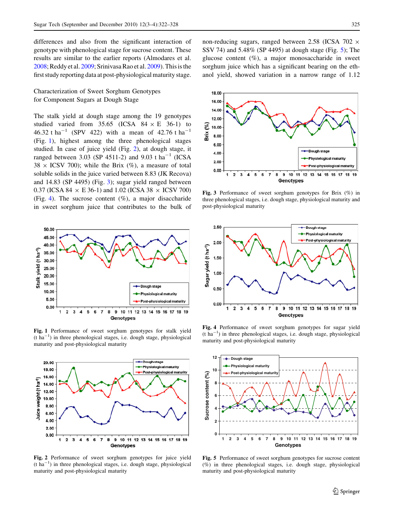<span id="page-3-0"></span>differences and also from the significant interaction of genotype with phenological stage for sucrose content. These results are similar to the earlier reports (Almodares et al. [2008;](#page-6-0) Reddy et al. [2009](#page-6-0); Srinivasa Rao et al. [2009](#page-6-0)). This is the first study reporting data at post-physiological maturity stage.

# Characterization of Sweet Sorghum Genotypes for Component Sugars at Dough Stage

The stalk yield at dough stage among the 19 genotypes studied varied from 35.65 (ICSA  $84 \times E$  36-1) to 46.32 t ha<sup>-1</sup> (SPV 422) with a mean of 42.76 t ha<sup>-1</sup> (Fig. 1), highest among the three phenological stages studied. In case of juice yield (Fig. 2), at dough stage, it ranged between 3.03 (SP 4511-2) and 9.03 t ha<sup>-1</sup> (ICSA  $38 \times \text{ICSV } 700$ ; while the Brix (%), a measure of total soluble solids in the juice varied between 8.83 (JK Recova) and 14.83 (SP 4495) (Fig. 3); sugar yield ranged between 0.37 (ICSA 84  $\times$  E 36-1) and 1.02 (ICSA 38  $\times$  ICSV 700) (Fig. 4). The sucrose content  $(\%)$ , a major disaccharide in sweet sorghum juice that contributes to the bulk of



Fig. 1 Performance of sweet sorghum genotypes for stalk yield  $(t \text{ ha}^{-1})$  in three phenological stages, i.e. dough stage, physiological maturity and post-physiological maturity



Fig. 2 Performance of sweet sorghum genotypes for juice yield  $(t \text{ ha}^{-1})$  in three phenological stages, i.e. dough stage, physiological maturity and post-physiological maturity

non-reducing sugars, ranged between 2.58 (ICSA 702  $\times$ SSV 74) and 5.48% (SP 4495) at dough stage (Fig. 5); The glucose content  $(\%)$ , a major monosaccharide in sweet sorghum juice which has a significant bearing on the ethanol yield, showed variation in a narrow range of 1.12



Fig. 3 Performance of sweet sorghum genotypes for Brix (%) in three phenological stages, i.e. dough stage, physiological maturity and post-physiological maturity



Fig. 4 Performance of sweet sorghum genotypes for sugar yield (t ha-<sup>1</sup> ) in three phenological stages, i.e. dough stage, physiological maturity and post-physiological maturity



Fig. 5 Performance of sweet sorghum genotypes for sucrose content (%) in three phenological stages, i.e. dough stage, physiological maturity and post-physiological maturity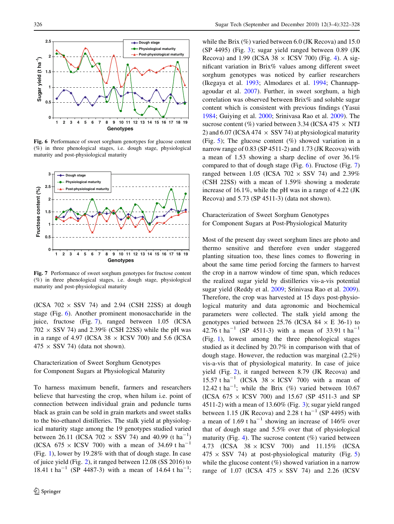<span id="page-4-0"></span>

Fig. 6 Performance of sweet sorghum genotypes for glucose content (%) in three phenological stages, i.e. dough stage, physiological maturity and post-physiological maturity



Fig. 7 Performance of sweet sorghum genotypes for fructose content (%) in three phenological stages, i.e. dough stage, physiological maturity and post-physiological maturity

(ICSA  $702 \times$  SSV 74) and 2.94 (CSH 22SS) at dough stage (Fig. 6). Another prominent monosaccharide in the juice, fructose (Fig. 7), ranged between 1.05 (ICSA  $702 \times$  SSV 74) and 2.39% (CSH 22SS) while the pH was in a range of 4.97 (ICSA 38  $\times$  ICSV 700) and 5.6 (ICSA  $475 \times$  SSV 74) (data not shown).

# Characterization of Sweet Sorghum Genotypes for Component Sugars at Physiological Maturity

To harness maximum benefit, farmers and researchers believe that harvesting the crop, when hilum i.e. point of connection between individual grain and peduncle turns black as grain can be sold in grain markets and sweet stalks to the bio-ethanol distilleries. The stalk yield at physiological maturity stage among the 19 genotypes studied varied between 26.11 (ICSA 702  $\times$  SSV 74) and 40.99 (t ha<sup>-1</sup>) (ICSA 675  $\times$  ICSV 700) with a mean of 34.69 t ha<sup>-1</sup> (Fig. [1](#page-3-0)), lower by 19.28% with that of dough stage. In case of juice yield (Fig. [2](#page-3-0)), it ranged between 12.08 (SS 2016) to 18.41 t ha<sup>-1</sup> (SP 4487-3) with a mean of 14.64 t ha<sup>-1</sup>;

while the Brix  $(\%)$  varied between 6.0 (JK Recova) and 15.0 (SP 4495) (Fig. [3](#page-3-0)); sugar yield ranged between 0.89 (JK Recova) and 1.99 (ICSA 38  $\times$  ICSV 700) (Fig. [4\)](#page-3-0). A significant variation in Brix% values among different sweet sorghum genotypes was noticed by earlier researchers (Ikegaya et al. [1993;](#page-6-0) Almodares et al. [1994](#page-6-0); Channappagoudar et al. [2007](#page-6-0)). Further, in sweet sorghum, a high correlation was observed between Brix% and soluble sugar content which is consistent with previous findings (Yasui [1984](#page-6-0); Guiying et al. [2000](#page-6-0); Srinivasa Rao et al. [2009\)](#page-6-0). The sucrose content (%) varied between 3.34 (ICSA 475  $\times$  NTJ 2) and 6.07 (ICSA 474  $\times$  SSV 74) at physiological maturity (Fig. [5\)](#page-3-0); The glucose content  $(\%)$  showed variation in a narrow range of 0.83 (SP 4511-2) and 1.73 (JK Recova) with a mean of 1.53 showing a sharp decline of over 36.1% compared to that of dough stage (Fig.  $6$ ). Fructose (Fig.  $7$ ) ranged between 1.05 (ICSA  $702 \times$  SSV 74) and 2.39% (CSH 22SS) with a mean of 1.59% showing a moderate increase of 16.1%, while the pH was in a range of 4.22 (JK Recova) and 5.73 (SP 4511-3) (data not shown).

# Characterization of Sweet Sorghum Genotypes for Component Sugars at Post-Physiological Maturity

Most of the present day sweet sorghum lines are photo and thermo sensitive and therefore even under staggered planting situation too, these lines comes to flowering in about the same time period forcing the farmers to harvest the crop in a narrow window of time span, which reduces the realized sugar yield by distilleries vis-a-vis potential sugar yield (Reddy et al. [2009;](#page-6-0) Srinivasa Rao et al. [2009](#page-6-0)). Therefore, the crop was harvested at 15 days post-physiological maturity and data agronomic and biochemical parameters were collected. The stalk yield among the genotypes varied between 25.76 (ICSA 84  $\times$  E 36-1) to 42.76 t ha<sup>-1</sup> (SP 4511-3) with a mean of 33.91 t ha<sup>-1</sup> (Fig. [1\)](#page-3-0), lowest among the three phenological stages studied as it declined by 20.7% in comparison with that of dough stage. However, the reduction was marginal (2.2%) vis-a-vis that of physiological maturity. In case of juice yield (Fig. [2](#page-3-0)), it ranged between 8.79 (JK Recova) and 15.57 t ha<sup>-1</sup> (ICSA 38  $\times$  ICSV 700) with a mean of 12.42 t ha<sup>-1</sup>; while the Brix  $(\%)$  varied between 10.67 (ICSA  $675 \times$  ICSV 700) and 15.67 (SP 4511-3 and SP 4511-2) with a mean of 13.60% (Fig. [3](#page-3-0)); sugar yield ranged between 1.15 (JK Recova) and 2.28 t ha<sup>-1</sup> (SP 4495) with a mean of 1.69 t ha<sup>-1</sup> showing an increase of 146% over that of dough stage and 5.5% over that of physiological maturity (Fig. [4\)](#page-3-0). The sucrose content  $(\%)$  varied between 4.73 (ICSA  $38 \times$  ICSV 700) and 11.15% (ICSA  $475 \times$  SSV 74) at post-physiological maturity (Fig. [5\)](#page-3-0) while the glucose content  $(\%)$  showed variation in a narrow range of 1.07 (ICSA  $475 \times$  SSV 74) and 2.26 (ICSV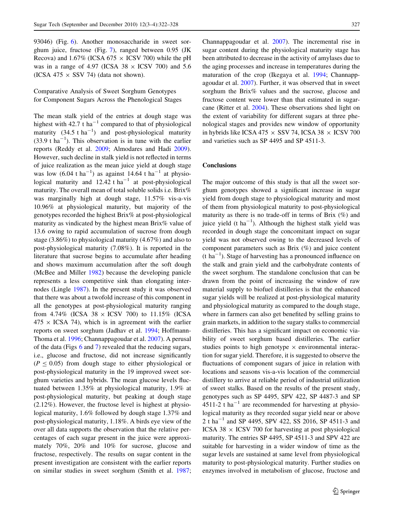93046) (Fig. [6](#page-4-0)). Another monosaccharide in sweet sorghum juice, fructose (Fig. [7\)](#page-4-0), ranged between 0.95 (JK Recova) and 1.67% (ICSA 675  $\times$  ICSV 700) while the pH was in a range of 4.97 (ICSA  $38 \times$  ICSV 700) and 5.6 (ICSA 475  $\times$  SSV 74) (data not shown).

Comparative Analysis of Sweet Sorghum Genotypes for Component Sugars Across the Phenological Stages

The mean stalk yield of the entries at dough stage was highest with  $42.7$  t ha<sup>-1</sup> compared to that of physiological maturity  $(34.5 \text{ t ha}^{-1})$  and post-physiological maturity  $(33.9 \text{ t ha}^{-1})$ . This observation is in tune with the earlier reports (Reddy et al. [2009](#page-6-0); Almodares and Hadi [2009](#page-6-0)). However, such decline in stalk yield is not reflected in terms of juice realization as the mean juice yield at dough stage was low  $(6.04 \text{ t ha}^{-1})$  as against 14.64 t ha<sup>-1</sup> at physiological maturity and  $12.42$  t ha<sup>-1</sup> at post-physiological maturity. The overall mean of total soluble solids i.e. Brix% was marginally high at dough stage, 11.57% vis-a-vis 10.96% at physiological maturity, but majority of the genotypes recorded the highest Brix% at post-physiological maturity as vindicated by the highest mean Brix% value of 13.6 owing to rapid accumulation of sucrose from dough stage (3.86%) to physiological maturity (4.67%) and also to post-physiological maturity (7.08%). It is reported in the literature that sucrose begins to accumulate after heading and shows maximum accumulation after the soft dough (McBee and Miller [1982\)](#page-6-0) because the developing panicle represents a less competitive sink than elongating internodes (Lingle [1987\)](#page-6-0). In the present study it was observed that there was about a twofold increase of this component in all the genotypes at post-physiological maturity ranging from 4.74% (ICSA 38  $\times$  ICSV 700) to 11.15% (ICSA  $475 \times$  ICSA 74), which is in agreement with the earlier reports on sweet sorghum (Jadhav et al. [1994;](#page-6-0) Hoffmann-Thoma et al. [1996;](#page-6-0) Channappagoudar et al. [2007](#page-6-0)). A perusal of the data (Figs [6](#page-4-0) and [7\)](#page-4-0) revealed that the reducing sugars, i.e., glucose and fructose, did not increase significantly  $(P \le 0.05)$  from dough stage to either physiological or post-physiological maturity in the 19 improved sweet sorghum varieties and hybrids. The mean glucose levels fluctuated between 1.35% at physiological maturity, 1.9% at post-physiological maturity, but peaking at dough stage (2.12%). However, the fructose level is highest at physiological maturity, 1.6% followed by dough stage 1.37% and post-physiological maturity, 1.18%. A birds eye view of the over all data supports the observation that the relative percentages of each sugar present in the juice were approximately 70%, 20% and 10% for sucrose, glucose and fructose, respectively. The results on sugar content in the present investigation are consistent with the earlier reports on similar studies in sweet sorghum (Smith et al. [1987](#page-6-0); Channappagoudar et al. [2007\)](#page-6-0). The incremental rise in sugar content during the physiological maturity stage has been attributed to decrease in the activity of amylases due to the aging processes and increase in temperatures during the maturation of the crop (Ikegaya et al. [1994;](#page-6-0) Channappagoudar et al. [2007\)](#page-6-0). Further, it was observed that in sweet sorghum the Brix% values and the sucrose, glucose and fructose content were lower than that estimated in sugarcane (Ritter et al. [2004\)](#page-6-0). These observations shed light on the extent of variability for different sugars at three phenological stages and provides new window of opportunity in hybrids like ICSA 475  $\times$  SSV 74, ICSA 38  $\times$  ICSV 700 and varieties such as SP 4495 and SP 4511-3.

## **Conclusions**

The major outcome of this study is that all the sweet sorghum genotypes showed a significant increase in sugar yield from dough stage to physiological maturity and most of them from physiological maturity to post-physiological maturity as there is no trade-off in terms of Brix  $(\%)$  and juice yield (t  $ha^{-1}$ ). Although the highest stalk yield was recorded in dough stage the concomitant impact on sugar yield was not observed owing to the decreased levels of component parameters such as Brix (%) and juice content  $(t)$  ha<sup>-1</sup>). Stage of harvesting has a pronounced influence on the stalk and grain yield and the carbohydrate contents of the sweet sorghum. The standalone conclusion that can be drawn from the point of increasing the window of raw material supply to biofuel distilleries is that the enhanced sugar yields will be realized at post-physiological maturity and physiological maturity as compared to the dough stage, where in farmers can also get benefited by selling grains to grain markets, in addition to the sugary stalks to commercial distilleries. This has a significant impact on economic viability of sweet sorghum based distilleries. The earlier studies points to high genotype  $\times$  environmental interaction for sugar yield. Therefore, it is suggested to observe the fluctuations of component sugars of juice in relation with locations and seasons vis-a-vis location of the commercial distillery to arrive at reliable period of industrial utilization of sweet stalks. Based on the results of the present study, genotypes such as SP 4495, SPV 422, SP 4487-3 and SP 4511-2 t ha<sup>-1</sup> are recommended for harvesting at physiological maturity as they recorded sugar yield near or above 2 t ha<sup>-1</sup> and SP 4495, SPV 422, SS 2016, SP 4511-3 and ICSA 38  $\times$  ICSV 700 for harvesting at post physiological maturity. The entries SP 4495, SP 4511-3 and SPV 422 are suitable for harvesting in a wider window of time as the sugar levels are sustained at same level from physiological maturity to post-physiological maturity. Further studies on enzymes involved in metabolism of glucose, fructose and